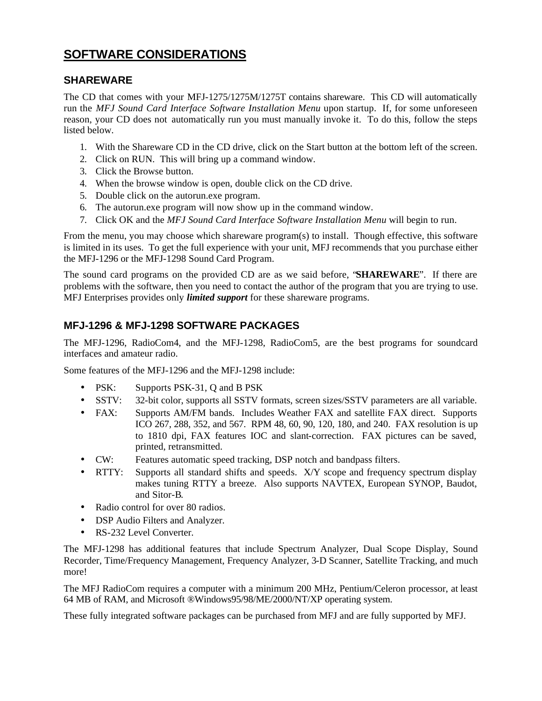## **SOFTWARE CONSIDERATIONS**

#### **SHAREWARE**

The CD that comes with your MFJ-1275/1275M/1275T contains shareware. This CD will automatically run the *MFJ Sound Card Interface Software Installation Menu* upon startup. If, for some unforeseen reason, your CD does not automatically run you must manually invoke it. To do this, follow the steps listed below.

- 1. With the Shareware CD in the CD drive, click on the Start button at the bottom left of the screen.
- 2. Click on RUN. This will bring up a command window.
- 3. Click the Browse button.
- 4. When the browse window is open, double click on the CD drive.
- 5. Double click on the autorun.exe program.
- 6. The autorun.exe program will now show up in the command window.
- 7. Click OK and the *MFJ Sound Card Interface Software Installation Menu* will begin to run.

From the menu, you may choose which shareware program(s) to install. Though effective, this software is limited in its uses. To get the full experience with your unit, MFJ recommends that you purchase either the MFJ-1296 or the MFJ-1298 Sound Card Program.

The sound card programs on the provided CD are as we said before, "**SHAREWARE**". If there are problems with the software, then you need to contact the author of the program that you are trying to use. MFJ Enterprises provides only *limited support* for these shareware programs.

#### **MFJ-1296 & MFJ-1298 SOFTWARE PACKAGES**

The MFJ-1296, RadioCom4, and the MFJ-1298, RadioCom5, are the best programs for soundcard interfaces and amateur radio.

Some features of the MFJ-1296 and the MFJ-1298 include:

- PSK: Supports PSK-31, Q and B PSK
- SSTV: 32-bit color, supports all SSTV formats, screen sizes/SSTV parameters are all variable.
- FAX: Supports AM/FM bands. Includes Weather FAX and satellite FAX direct. Supports ICO 267, 288, 352, and 567. RPM 48, 60, 90, 120, 180, and 240. FAX resolution is up to 1810 dpi, FAX features IOC and slant-correction. FAX pictures can be saved, printed, retransmitted.
- CW: Features automatic speed tracking, DSP notch and bandpass filters.
- RTTY: Supports all standard shifts and speeds. X/Y scope and frequency spectrum display makes tuning RTTY a breeze. Also supports NAVTEX, European SYNOP, Baudot, and Sitor-B.
- Radio control for over 80 radios.
- DSP Audio Filters and Analyzer.
- RS-232 Level Converter.

The MFJ-1298 has additional features that include Spectrum Analyzer, Dual Scope Display, Sound Recorder, Time/Frequency Management, Frequency Analyzer, 3-D Scanner, Satellite Tracking, and much more!

The MFJ RadioCom requires a computer with a minimum 200 MHz, Pentium/Celeron processor, at least 64 MB of RAM, and Microsoft ®Windows95/98/ME/2000/NT/XP operating system.

These fully integrated software packages can be purchased from MFJ and are fully supported by MFJ.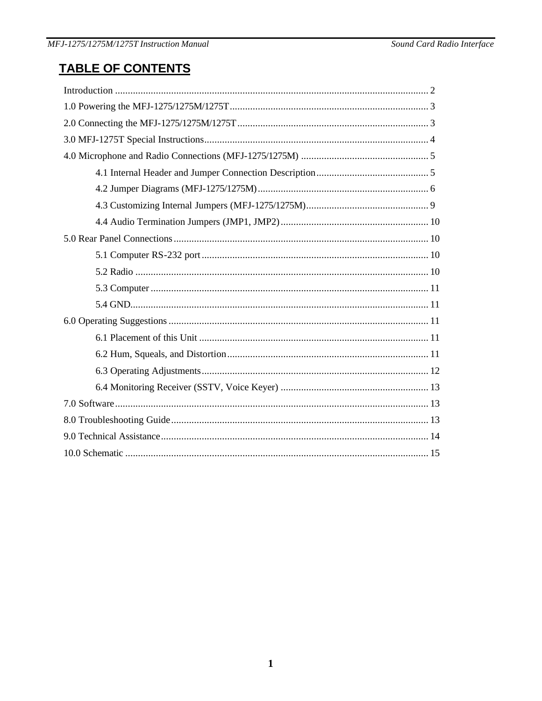# **TABLE OF CONTENTS**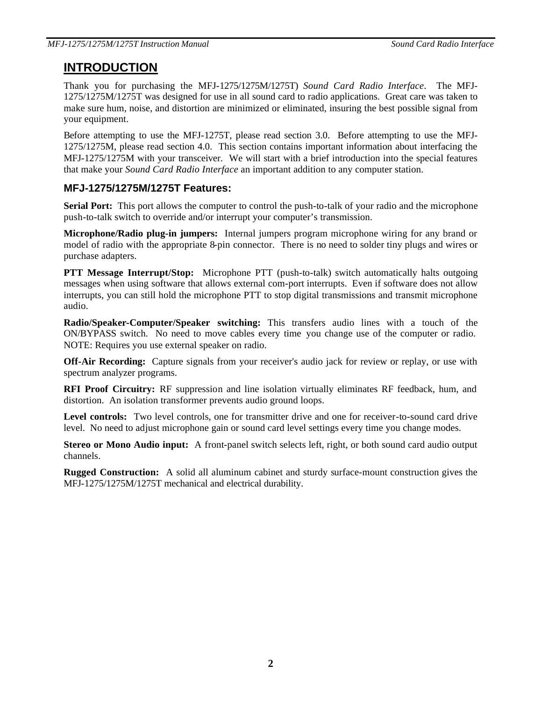### **INTRODUCTION**

Thank you for purchasing the MFJ-1275/1275M/1275T) *Sound Card Radio Interface*. The MFJ-1275/1275M/1275T was designed for use in all sound card to radio applications. Great care was taken to make sure hum, noise, and distortion are minimized or eliminated, insuring the best possible signal from your equipment.

Before attempting to use the MFJ-1275T, please read section 3.0. Before attempting to use the MFJ-1275/1275M, please read section 4.0. This section contains important information about interfacing the MFJ-1275/1275M with your transceiver. We will start with a brief introduction into the special features that make your *Sound Card Radio Interface* an important addition to any computer station.

#### **MFJ-1275/1275M/1275T Features:**

**Serial Port:** This port allows the computer to control the push-to-talk of your radio and the microphone push-to-talk switch to override and/or interrupt your computer's transmission.

**Microphone/Radio plug-in jumpers:** Internal jumpers program microphone wiring for any brand or model of radio with the appropriate 8-pin connector. There is no need to solder tiny plugs and wires or purchase adapters.

**PTT Message Interrupt/Stop:** Microphone PTT (push-to-talk) switch automatically halts outgoing messages when using software that allows external com-port interrupts. Even if software does not allow interrupts, you can still hold the microphone PTT to stop digital transmissions and transmit microphone audio.

**Radio/Speaker-Computer/Speaker switching:** This transfers audio lines with a touch of the ON/BYPASS switch. No need to move cables every time you change use of the computer or radio. NOTE: Requires you use external speaker on radio.

**Off-Air Recording:** Capture signals from your receiver's audio jack for review or replay, or use with spectrum analyzer programs.

**RFI Proof Circuitry:** RF suppression and line isolation virtually eliminates RF feedback, hum, and distortion. An isolation transformer prevents audio ground loops.

Level controls: Two level controls, one for transmitter drive and one for receiver-to-sound card drive level. No need to adjust microphone gain or sound card level settings every time you change modes.

**Stereo or Mono Audio input:** A front-panel switch selects left, right, or both sound card audio output channels.

**Rugged Construction:** A solid all aluminum cabinet and sturdy surface-mount construction gives the MFJ-1275/1275M/1275T mechanical and electrical durability.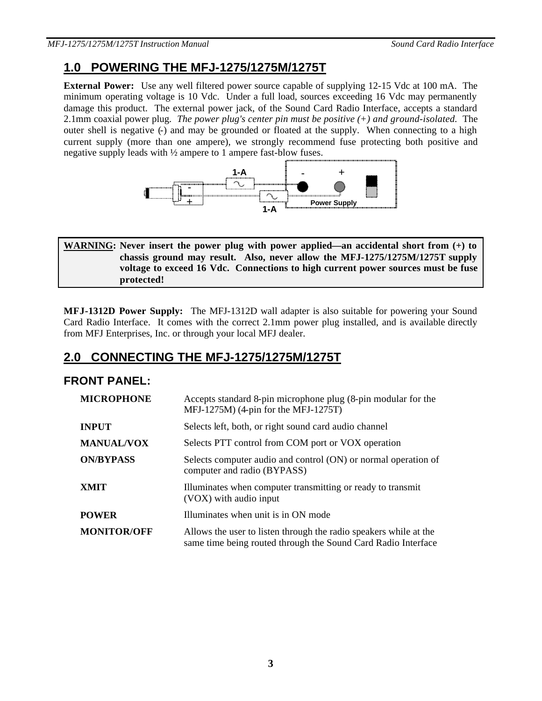## **1.0 POWERING THE MFJ-1275/1275M/1275T**

**External Power:** Use any well filtered power source capable of supplying 12-15 Vdc at 100 mA. The minimum operating voltage is 10 Vdc. Under a full load, sources exceeding 16 Vdc may permanently damage this product. The external power jack, of the Sound Card Radio Interface, accepts a standard 2.1mm coaxial power plug. *The power plug's center pin must be positive (+) and ground-isolated.* The outer shell is negative (-) and may be grounded or floated at the supply. When connecting to a high current supply (more than one ampere), we strongly recommend fuse protecting both positive and negative supply leads with ½ ampere to 1 ampere fast-blow fuses.



#### **WARNING: Never insert the power plug with power applied—an accidental short from (+) to chassis ground may result. Also, never allow the MFJ-1275/1275M/1275T supply voltage to exceed 16 Vdc. Connections to high current power sources must be fuse protected!**

**MFJ-1312D Power Supply:** The MFJ-1312D wall adapter is also suitable for powering your Sound Card Radio Interface. It comes with the correct 2.1mm power plug installed, and is available directly from MFJ Enterprises, Inc. or through your local MFJ dealer.

## **2.0 CONNECTING THE MFJ-1275/1275M/1275T**

#### **FRONT PANEL:**

| <b>MICROPHONE</b>  | Accepts standard 8-pin microphone plug (8-pin modular for the<br>MFJ-1275M) (4-pin for the MFJ-1275T)                              |
|--------------------|------------------------------------------------------------------------------------------------------------------------------------|
| <b>INPUT</b>       | Selects left, both, or right sound card audio channel                                                                              |
| <b>MANUAL/VOX</b>  | Selects PTT control from COM port or VOX operation                                                                                 |
| <b>ON/BYPASS</b>   | Selects computer audio and control (ON) or normal operation of<br>computer and radio (BYPASS)                                      |
| <b>XMIT</b>        | Illuminates when computer transmitting or ready to transmit<br>(VOX) with audio input                                              |
| <b>POWER</b>       | Illuminates when unit is in ON mode                                                                                                |
| <b>MONITOR/OFF</b> | Allows the user to listen through the radio speakers while at the<br>same time being routed through the Sound Card Radio Interface |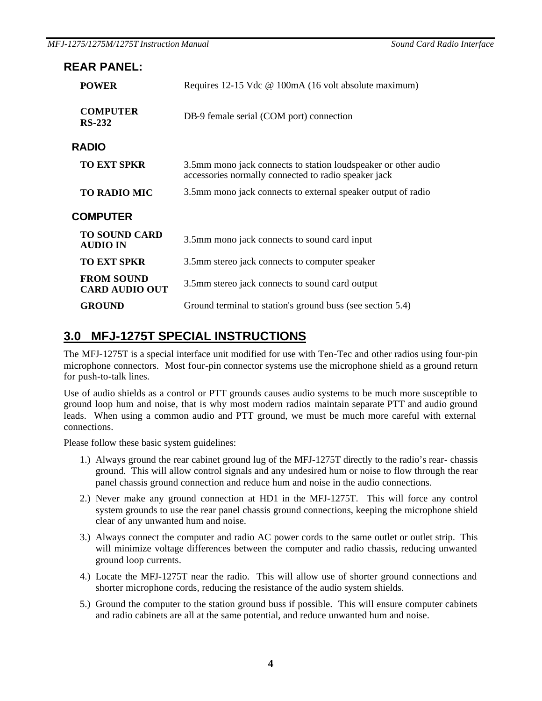| <b>REAR PANEL:</b>                         |                                                                                                                        |  |  |  |
|--------------------------------------------|------------------------------------------------------------------------------------------------------------------------|--|--|--|
| <b>POWER</b>                               | Requires 12-15 Vdc @ 100mA (16 volt absolute maximum)                                                                  |  |  |  |
| <b>COMPUTER</b><br><b>RS-232</b>           | DB-9 female serial (COM port) connection                                                                               |  |  |  |
| <b>RADIO</b>                               |                                                                                                                        |  |  |  |
| <b>TO EXT SPKR</b>                         | 3.5mm mono jack connects to station loudspeaker or other audio<br>accessories normally connected to radio speaker jack |  |  |  |
| <b>TO RADIO MIC</b>                        | 3.5mm mono jack connects to external speaker output of radio                                                           |  |  |  |
| <b>COMPUTER</b>                            |                                                                                                                        |  |  |  |
| <b>TO SOUND CARD</b><br><b>AUDIO IN</b>    | 3.5mm mono jack connects to sound card input                                                                           |  |  |  |
| <b>TO EXT SPKR</b>                         | 3.5mm stereo jack connects to computer speaker                                                                         |  |  |  |
| <b>FROM SOUND</b><br><b>CARD AUDIO OUT</b> | 3.5mm stereo jack connects to sound card output                                                                        |  |  |  |
| <b>GROUND</b>                              | Ground terminal to station's ground buss (see section 5.4)                                                             |  |  |  |

### **3.0 MFJ-1275T SPECIAL INSTRUCTIONS**

The MFJ-1275T is a special interface unit modified for use with Ten-Tec and other radios using four-pin microphone connectors. Most four-pin connector systems use the microphone shield as a ground return for push-to-talk lines.

Use of audio shields as a control or PTT grounds causes audio systems to be much more susceptible to ground loop hum and noise, that is why most modern radios maintain separate PTT and audio ground leads. When using a common audio and PTT ground, we must be much more careful with external connections.

Please follow these basic system guidelines:

- 1.) Always ground the rear cabinet ground lug of the MFJ-1275T directly to the radio's rear- chassis ground. This will allow control signals and any undesired hum or noise to flow through the rear panel chassis ground connection and reduce hum and noise in the audio connections.
- 2.) Never make any ground connection at HD1 in the MFJ-1275T. This will force any control system grounds to use the rear panel chassis ground connections, keeping the microphone shield clear of any unwanted hum and noise.
- 3.) Always connect the computer and radio AC power cords to the same outlet or outlet strip. This will minimize voltage differences between the computer and radio chassis, reducing unwanted ground loop currents.
- 4.) Locate the MFJ-1275T near the radio. This will allow use of shorter ground connections and shorter microphone cords, reducing the resistance of the audio system shields.
- 5.) Ground the computer to the station ground buss if possible. This will ensure computer cabinets and radio cabinets are all at the same potential, and reduce unwanted hum and noise.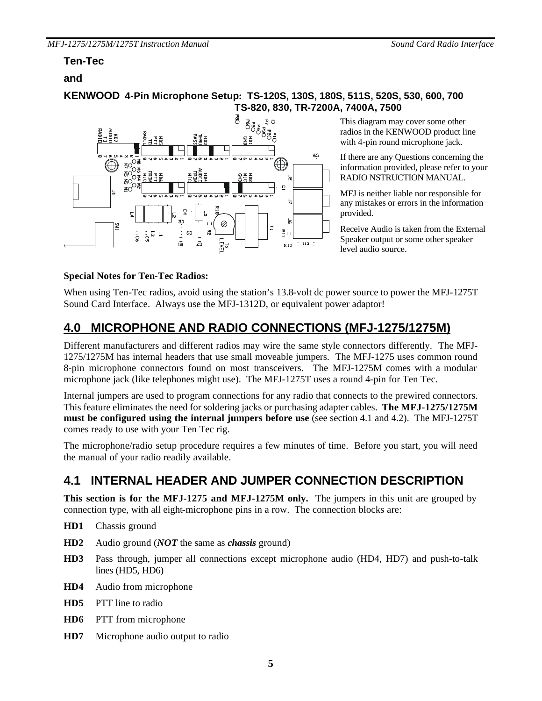#### **Ten-Tec**

#### **and**

#### **KENWOOD 4-Pin Microphone Setup: TS-120S, 130S, 180S, 511S, 520S, 530, 600, 700 TS-820, 830, TR-7200A, 7400A, 7500**



This diagram may cover some other radios in the KENWOOD product line with 4-pin round microphone jack.

If there are any Questions concerning the information provided, please refer to your RADIO NSTRUCTION MANUAL.

MFJ is neither liable nor responsible for any mistakes or errors in the information provided.

Receive Audio is taken from the External Speaker output or some other speaker level audio source.

#### **Special Notes for Ten-Tec Radios:**

When using Ten-Tec radios, avoid using the station's 13.8-volt dc power source to power the MFJ-1275T Sound Card Interface. Always use the MFJ-1312D, or equivalent power adaptor!

## **4.0 MICROPHONE AND RADIO CONNECTIONS (MFJ-1275/1275M)**

Different manufacturers and different radios may wire the same style connectors differently. The MFJ-1275/1275M has internal headers that use small moveable jumpers. The MFJ-1275 uses common round 8-pin microphone connectors found on most transceivers. The MFJ-1275M comes with a modular microphone jack (like telephones might use). The MFJ-1275T uses a round 4-pin for Ten Tec.

Internal jumpers are used to program connections for any radio that connects to the prewired connectors. This feature eliminates the need for soldering jacks or purchasing adapter cables. **The MFJ-1275/1275M must be configured using the internal jumpers before use** (see section 4.1 and 4.2). The MFJ-1275T comes ready to use with your Ten Tec rig.

The microphone/radio setup procedure requires a few minutes of time. Before you start, you will need the manual of your radio readily available.

## **4.1 INTERNAL HEADER AND JUMPER CONNECTION DESCRIPTION**

**This section is for the MFJ-1275 and MFJ-1275M only.** The jumpers in this unit are grouped by connection type, with all eight-microphone pins in a row. The connection blocks are:

- **HD1** Chassis ground
- **HD2** Audio ground (*NOT* the same as *chassis* ground)
- **HD3** Pass through, jumper all connections except microphone audio (HD4, HD7) and push-to-talk lines (HD5, HD6)
- **HD4** Audio from microphone
- **HD5** PTT line to radio
- **HD6** PTT from microphone
- **HD7** Microphone audio output to radio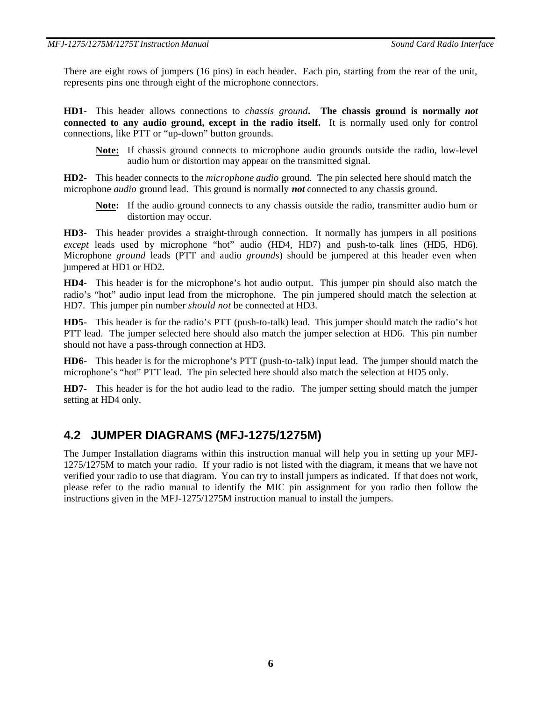There are eight rows of jumpers (16 pins) in each header. Each pin, starting from the rear of the unit, represents pins one through eight of the microphone connectors.

**HD1-** This header allows connections to *chassis ground***. The chassis ground is normally** *not*  **connected to any audio ground, except in the radio itself.** It is normally used only for control connections, like PTT or "up-down" button grounds.

**Note:** If chassis ground connects to microphone audio grounds outside the radio, low-level audio hum or distortion may appear on the transmitted signal.

**HD2-** This header connects to the *microphone audio* ground. The pin selected here should match the microphone *audio* ground lead. This ground is normally *not* connected to any chassis ground.

**Note:** If the audio ground connects to any chassis outside the radio, transmitter audio hum or distortion may occur.

**HD3-** This header provides a straight-through connection. It normally has jumpers in all positions *except* leads used by microphone "hot" audio (HD4, HD7) and push-to-talk lines (HD5, HD6). Microphone *ground* leads (PTT and audio *grounds*) should be jumpered at this header even when jumpered at HD1 or HD2.

**HD4-** This header is for the microphone's hot audio output. This jumper pin should also match the radio's "hot" audio input lead from the microphone. The pin jumpered should match the selection at HD7. This jumper pin number *should not* be connected at HD3.

**HD5-** This header is for the radio's PTT (push-to-talk) lead. This jumper should match the radio's hot PTT lead. The jumper selected here should also match the jumper selection at HD6. This pin number should not have a pass-through connection at HD3.

**HD6-** This header is for the microphone's PTT (push-to-talk) input lead. The jumper should match the microphone's "hot" PTT lead. The pin selected here should also match the selection at HD5 only.

**HD7-** This header is for the hot audio lead to the radio. The jumper setting should match the jumper setting at HD4 only.

### **4.2 JUMPER DIAGRAMS (MFJ-1275/1275M)**

The Jumper Installation diagrams within this instruction manual will help you in setting up your MFJ-1275/1275M to match your radio. If your radio is not listed with the diagram, it means that we have not verified your radio to use that diagram. You can try to install jumpers as indicated. If that does not work, please refer to the radio manual to identify the MIC pin assignment for you radio then follow the instructions given in the MFJ-1275/1275M instruction manual to install the jumpers.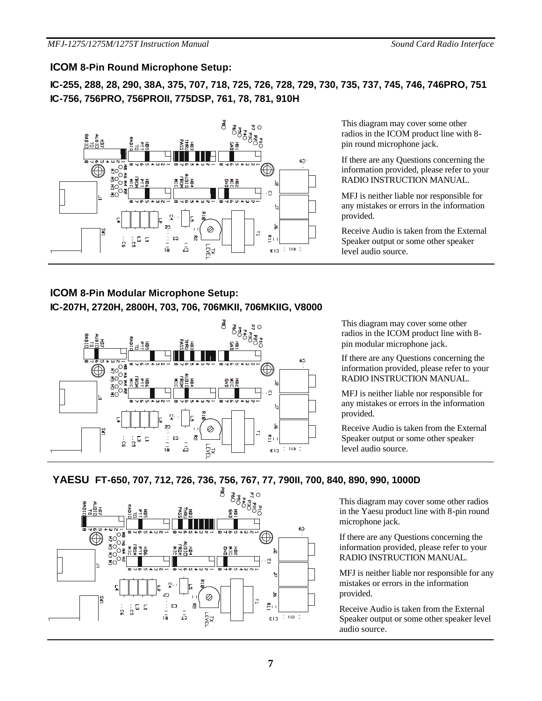#### **ICOM 8-Pin Round Microphone Setup:**

**IC-255, 288, 28, 290, 38A, 375, 707, 718, 725, 726, 728, 729, 730, 735, 737, 745, 746, 746PRO, 751 IC-756, 756PRO, 756PROII, 775DSP, 761, 78, 781, 910H**



This diagram may cover some other radios in the ICOM product line with 8 pin round microphone jack.

If there are any Questions concerning the information provided, please refer to your RADIO INSTRUCTION MANUAL.

MFJ is neither liable nor responsible for any mistakes or errors in the information provided.

Receive Audio is taken from the External Speaker output or some other speaker level audio source.

#### **ICOM 8-Pin Modular Microphone Setup: IC-207H, 2720H, 2800H, 703, 706, 706MKII, 706MKIIG, V8000**



This diagram may cover some other radios in the ICOM product line with 8 pin modular microphone jack.

If there are any Questions concerning the information provided, please refer to your RADIO INSTRUCTION MANUAL.

MFJ is neither liable nor responsible for any mistakes or errors in the information provided.

Receive Audio is taken from the External Speaker output or some other speaker level audio source.

#### **YAESU FT-650, 707, 712, 726, 736, 756, 767, 77, 790II, 700, 840, 890, 990, 1000D**



This diagram may cover some other radios in the Yaesu product line with 8-pin round microphone jack.

If there are any Questions concerning the information provided, please refer to your RADIO INSTRUCTION MANUAL.

MFJ is neither liable nor responsible for any mistakes or errors in the information provided.

Receive Audio is taken from the External Speaker output or some other speaker level audio source.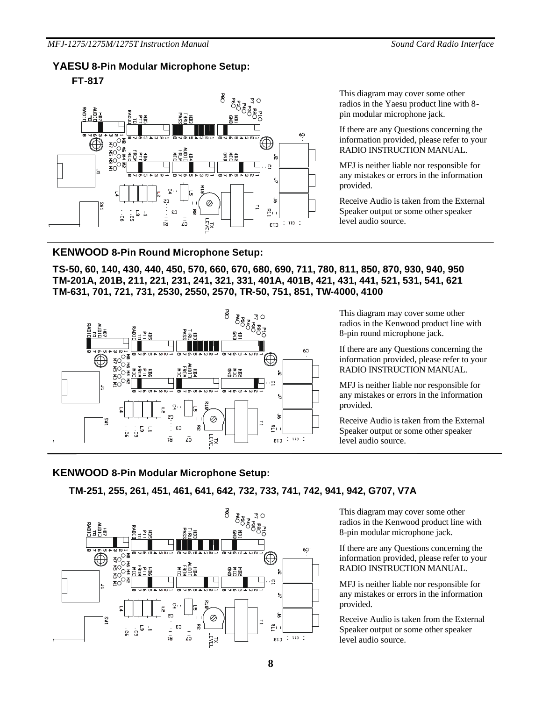#### **YAESU 8-Pin Modular Microphone Setup:**

**FT-817**



This diagram may cover some other radios in the Yaesu product line with 8 pin modular microphone jack.

If there are any Questions concerning the information provided, please refer to your RADIO INSTRUCTION MANUAL.

MFJ is neither liable nor responsible for any mistakes or errors in the information provided.

Receive Audio is taken from the External Speaker output or some other speaker level audio source.

#### **KENWOOD 8-Pin Round Microphone Setup:**

**TS-50, 60, 140, 430, 440, 450, 570, 660, 670, 680, 690, 711, 780, 811, 850, 870, 930, 940, 950 TM-201A, 201B, 211, 221, 231, 241, 321, 331, 401A, 401B, 421, 431, 441, 521, 531, 541, 621 TM-631, 701, 721, 731, 2530, 2550, 2570, TR-50, 751, 851, TW-4000, 4100**



This diagram may cover some other radios in the Kenwood product line with 8-pin round microphone jack.

If there are any Questions concerning the information provided, please refer to your RADIO INSTRUCTION MANUAL.

MFJ is neither liable nor responsible for any mistakes or errors in the information provided.

Receive Audio is taken from the External Speaker output or some other speaker level audio source.

#### **KENWOOD 8-Pin Modular Microphone Setup:**

**TM-251, 255, 261, 451, 461, 641, 642, 732, 733, 741, 742, 941, 942, G707, V7A**



This diagram may cover some other radios in the Kenwood product line with 8-pin modular microphone jack.

If there are any Questions concerning the information provided, please refer to your RADIO INSTRUCTION MANUAL.

MFJ is neither liable nor responsible for any mistakes or errors in the information provided.

Receive Audio is taken from the External Speaker output or some other speaker level audio source.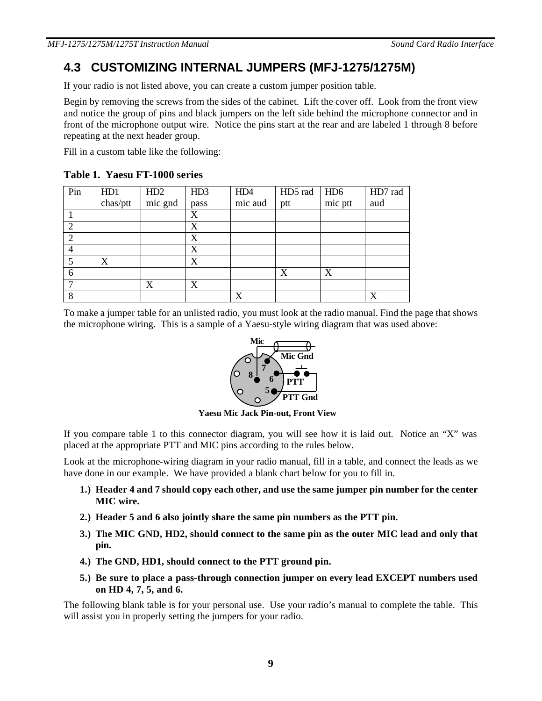### **4.3 CUSTOMIZING INTERNAL JUMPERS (MFJ-1275/1275M)**

If your radio is not listed above, you can create a custom jumper position table.

Begin by removing the screws from the sides of the cabinet. Lift the cover off. Look from the front view and notice the group of pins and black jumpers on the left side behind the microphone connector and in front of the microphone output wire. Notice the pins start at the rear and are labeled 1 through 8 before repeating at the next header group.

Fill in a custom table like the following:

**Table 1. Yaesu FT-1000 series**

| Pin | HD1      | HD2     | HD3  | HD4     | HD5 rad | $H\text{D}6$ | HD7 rad |
|-----|----------|---------|------|---------|---------|--------------|---------|
|     | chas/ptt | mic gnd | pass | mic aud | ptt     | mic ptt      | aud     |
|     |          |         | X    |         |         |              |         |
|     |          |         | X    |         |         |              |         |
|     |          |         | X    |         |         |              |         |
|     |          |         | X    |         |         |              |         |
| 5   | X        |         | X    |         |         |              |         |
| 6   |          |         |      |         | X       | X            |         |
|     |          | X       | X    |         |         |              |         |
| 8   |          |         |      | X       |         |              | v       |

To make a jumper table for an unlisted radio, you must look at the radio manual. Find the page that shows the microphone wiring. This is a sample of a Yaesu-style wiring diagram that was used above:



**Yaesu Mic Jack Pin-out, Front View**

If you compare table 1 to this connector diagram, you will see how it is laid out. Notice an "X" was placed at the appropriate PTT and MIC pins according to the rules below.

Look at the microphone-wiring diagram in your radio manual, fill in a table, and connect the leads as we have done in our example. We have provided a blank chart below for you to fill in.

- **1.) Header 4 and 7 should copy each other, and use the same jumper pin number for the center MIC wire.**
- **2.) Header 5 and 6 also jointly share the same pin numbers as the PTT pin.**
- **3.) The MIC GND, HD2, should connect to the same pin as the outer MIC lead and only that pin.**
- **4.) The GND, HD1, should connect to the PTT ground pin.**
- **5.) Be sure to place a pass-through connection jumper on every lead EXCEPT numbers used on HD 4, 7, 5, and 6.**

The following blank table is for your personal use. Use your radio's manual to complete the table. This will assist you in properly setting the jumpers for your radio.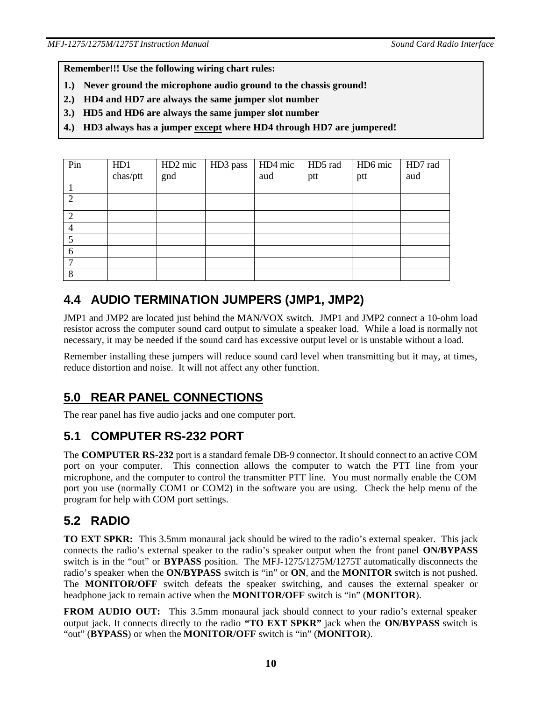**Remember!!! Use the following wiring chart rules:**

- **1.) Never ground the microphone audio ground to the chassis ground!**
- **2.) HD4 and HD7 are always the same jumper slot number**
- **3.) HD5 and HD6 are always the same jumper slot number**
- **4.) HD3 always has a jumper except where HD4 through HD7 are jumpered!**

| Pin                         | HD1      | HD <sub>2</sub> mic | HD3 pass | HD4 mic | HD5 rad | HD6 mic | HD7 rad |
|-----------------------------|----------|---------------------|----------|---------|---------|---------|---------|
|                             | chas/ptt | gnd                 |          | aud     | ptt     | ptt     | aud     |
|                             |          |                     |          |         |         |         |         |
| $\mathcal{D}_{\mathcal{L}}$ |          |                     |          |         |         |         |         |
| $\overline{2}$              |          |                     |          |         |         |         |         |
| 4                           |          |                     |          |         |         |         |         |
| 5                           |          |                     |          |         |         |         |         |
| 6                           |          |                     |          |         |         |         |         |
|                             |          |                     |          |         |         |         |         |
| 8                           |          |                     |          |         |         |         |         |

## **4.4 AUDIO TERMINATION JUMPERS (JMP1, JMP2)**

JMP1 and JMP2 are located just behind the MAN/VOX switch. JMP1 and JMP2 connect a 10-ohm load resistor across the computer sound card output to simulate a speaker load. While a load is normally not necessary, it may be needed if the sound card has excessive output level or is unstable without a load.

Remember installing these jumpers will reduce sound card level when transmitting but it may, at times, reduce distortion and noise. It will not affect any other function.

## **5.0 REAR PANEL CONNECTIONS**

The rear panel has five audio jacks and one computer port.

## **5.1 COMPUTER RS-232 PORT**

The **COMPUTER RS-232** port is a standard female DB-9 connector. It should connect to an active COM port on your computer. This connection allows the computer to watch the PTT line from your microphone, and the computer to control the transmitter PTT line. You must normally enable the COM port you use (normally COM1 or COM2) in the software you are using. Check the help menu of the program for help with COM port settings.

## **5.2 RADIO**

**TO EXT SPKR:** This 3.5mm monaural jack should be wired to the radio's external speaker. This jack connects the radio's external speaker to the radio's speaker output when the front panel **ON/BYPASS** switch is in the "out" or **BYPASS** position. The MFJ-1275/1275M/1275T automatically disconnects the radio's speaker when the **ON/BYPASS** switch is "in" or **ON**, and the **MONITOR** switch is not pushed. The **MONITOR/OFF** switch defeats the speaker switching, and causes the external speaker or headphone jack to remain active when the **MONITOR/OFF** switch is "in" (**MONITOR**).

**FROM AUDIO OUT:** This 3.5mm monaural jack should connect to your radio's external speaker output jack. It connects directly to the radio **"TO EXT SPKR"** jack when the **ON/BYPASS** switch is "out" (**BYPASS**) or when the **MONITOR/OFF** switch is "in" (**MONITOR**).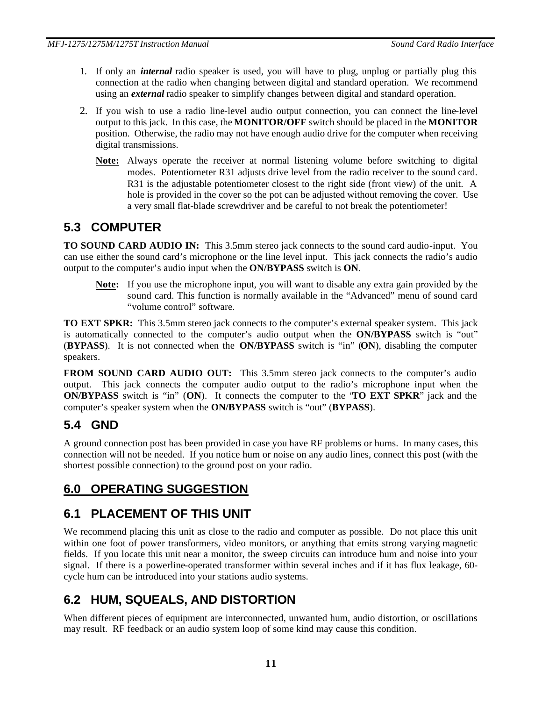- 1. If only an *internal* radio speaker is used, you will have to plug, unplug or partially plug this connection at the radio when changing between digital and standard operation. We recommend using an *external* radio speaker to simplify changes between digital and standard operation.
- 2. If you wish to use a radio line-level audio output connection, you can connect the line-level output to this jack. In this case, the **MONITOR/OFF** switch should be placed in the **MONITOR**  position. Otherwise, the radio may not have enough audio drive for the computer when receiving digital transmissions.
	- **Note:** Always operate the receiver at normal listening volume before switching to digital modes. Potentiometer R31 adjusts drive level from the radio receiver to the sound card. R31 is the adjustable potentiometer closest to the right side (front view) of the unit. A hole is provided in the cover so the pot can be adjusted without removing the cover. Use a very small flat-blade screwdriver and be careful to not break the potentiometer!

## **5.3 COMPUTER**

**TO SOUND CARD AUDIO IN:** This 3.5mm stereo jack connects to the sound card audio-input. You can use either the sound card's microphone or the line level input. This jack connects the radio's audio output to the computer's audio input when the **ON/BYPASS** switch is **ON**.

**Note:** If you use the microphone input, you will want to disable any extra gain provided by the sound card. This function is normally available in the "Advanced" menu of sound card "volume control" software.

**TO EXT SPKR:** This 3.5mm stereo jack connects to the computer's external speaker system. This jack is automatically connected to the computer's audio output when the **ON/BYPASS** switch is "out" (**BYPASS**). It is not connected when the **ON/BYPASS** switch is "in" (**ON**), disabling the computer speakers.

**FROM SOUND CARD AUDIO OUT:** This 3.5mm stereo jack connects to the computer's audio output. This jack connects the computer audio output to the radio's microphone input when the **ON/BYPASS** switch is "in" (**ON**). It connects the computer to the "**TO EXT SPKR**" jack and the computer's speaker system when the **ON/BYPASS** switch is "out" (**BYPASS**).

## **5.4 GND**

A ground connection post has been provided in case you have RF problems or hums. In many cases, this connection will not be needed. If you notice hum or noise on any audio lines, connect this post (with the shortest possible connection) to the ground post on your radio.

## **6.0 OPERATING SUGGESTION**

## **6.1 PLACEMENT OF THIS UNIT**

We recommend placing this unit as close to the radio and computer as possible. Do not place this unit within one foot of power transformers, video monitors, or anything that emits strong varying magnetic fields. If you locate this unit near a monitor, the sweep circuits can introduce hum and noise into your signal. If there is a powerline-operated transformer within several inches and if it has flux leakage, 60 cycle hum can be introduced into your stations audio systems.

# **6.2 HUM, SQUEALS, AND DISTORTION**

When different pieces of equipment are interconnected, unwanted hum, audio distortion, or oscillations may result. RF feedback or an audio system loop of some kind may cause this condition.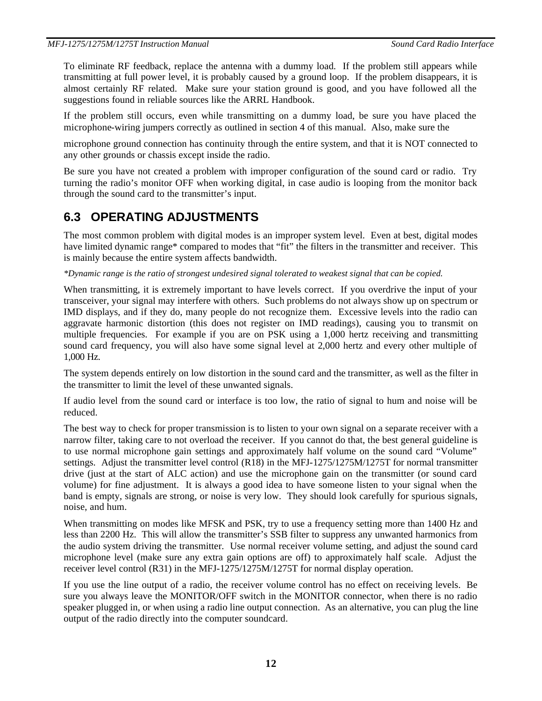To eliminate RF feedback, replace the antenna with a dummy load. If the problem still appears while transmitting at full power level, it is probably caused by a ground loop. If the problem disappears, it is almost certainly RF related. Make sure your station ground is good, and you have followed all the suggestions found in reliable sources like the ARRL Handbook.

If the problem still occurs, even while transmitting on a dummy load, be sure you have placed the microphone-wiring jumpers correctly as outlined in section 4 of this manual. Also, make sure the

microphone ground connection has continuity through the entire system, and that it is NOT connected to any other grounds or chassis except inside the radio.

Be sure you have not created a problem with improper configuration of the sound card or radio. Try turning the radio's monitor OFF when working digital, in case audio is looping from the monitor back through the sound card to the transmitter's input.

## **6.3 OPERATING ADJUSTMENTS**

The most common problem with digital modes is an improper system level. Even at best, digital modes have limited dynamic range\* compared to modes that "fit" the filters in the transmitter and receiver. This is mainly because the entire system affects bandwidth.

*\*Dynamic range is the ratio of strongest undesired signal tolerated to weakest signal that can be copied.*

When transmitting, it is extremely important to have levels correct. If you overdrive the input of your transceiver, your signal may interfere with others. Such problems do not always show up on spectrum or IMD displays, and if they do, many people do not recognize them. Excessive levels into the radio can aggravate harmonic distortion (this does not register on IMD readings), causing you to transmit on multiple frequencies. For example if you are on PSK using a 1,000 hertz receiving and transmitting sound card frequency, you will also have some signal level at 2,000 hertz and every other multiple of 1,000 Hz.

The system depends entirely on low distortion in the sound card and the transmitter, as well as the filter in the transmitter to limit the level of these unwanted signals.

If audio level from the sound card or interface is too low, the ratio of signal to hum and noise will be reduced.

The best way to check for proper transmission is to listen to your own signal on a separate receiver with a narrow filter, taking care to not overload the receiver. If you cannot do that, the best general guideline is to use normal microphone gain settings and approximately half volume on the sound card "Volume" settings. Adjust the transmitter level control (R18) in the MFJ-1275/1275M/1275T for normal transmitter drive (just at the start of ALC action) and use the microphone gain on the transmitter (or sound card volume) for fine adjustment. It is always a good idea to have someone listen to your signal when the band is empty, signals are strong, or noise is very low. They should look carefully for spurious signals, noise, and hum.

When transmitting on modes like MFSK and PSK, try to use a frequency setting more than 1400 Hz and less than 2200 Hz. This will allow the transmitter's SSB filter to suppress any unwanted harmonics from the audio system driving the transmitter. Use normal receiver volume setting, and adjust the sound card microphone level (make sure any extra gain options are off) to approximately half scale. Adjust the receiver level control (R31) in the MFJ-1275/1275M/1275T for normal display operation.

If you use the line output of a radio, the receiver volume control has no effect on receiving levels. Be sure you always leave the MONITOR/OFF switch in the MONITOR connector, when there is no radio speaker plugged in, or when using a radio line output connection. As an alternative, you can plug the line output of the radio directly into the computer soundcard.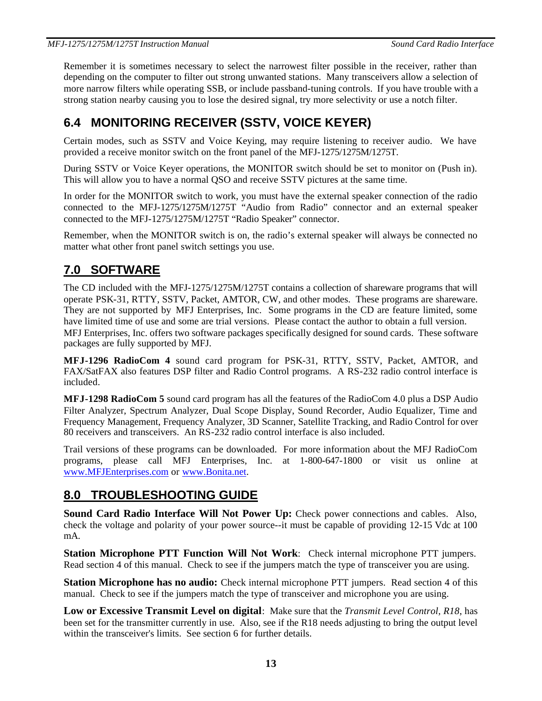Remember it is sometimes necessary to select the narrowest filter possible in the receiver, rather than depending on the computer to filter out strong unwanted stations. Many transceivers allow a selection of more narrow filters while operating SSB, or include passband-tuning controls. If you have trouble with a strong station nearby causing you to lose the desired signal, try more selectivity or use a notch filter.

# **6.4 MONITORING RECEIVER (SSTV, VOICE KEYER)**

Certain modes, such as SSTV and Voice Keying, may require listening to receiver audio. We have provided a receive monitor switch on the front panel of the MFJ-1275/1275M/1275T.

During SSTV or Voice Keyer operations, the MONITOR switch should be set to monitor on (Push in). This will allow you to have a normal QSO and receive SSTV pictures at the same time.

In order for the MONITOR switch to work, you must have the external speaker connection of the radio connected to the MFJ-1275/1275M/1275T "Audio from Radio" connector and an external speaker connected to the MFJ-1275/1275M/1275T "Radio Speaker" connector.

Remember, when the MONITOR switch is on, the radio's external speaker will always be connected no matter what other front panel switch settings you use.

## **7.0 SOFTWARE**

The CD included with the MFJ-1275/1275M/1275T contains a collection of shareware programs that will operate PSK-31, RTTY, SSTV, Packet, AMTOR, CW, and other modes. These programs are shareware. They are not supported by MFJ Enterprises, Inc. Some programs in the CD are feature limited, some have limited time of use and some are trial versions. Please contact the author to obtain a full version. MFJ Enterprises, Inc. offers two software packages specifically designed for sound cards. These software packages are fully supported by MFJ.

**MFJ-1296 RadioCom 4** sound card program for PSK-31, RTTY, SSTV, Packet, AMTOR, and FAX/SatFAX also features DSP filter and Radio Control programs. A RS-232 radio control interface is included.

**MFJ-1298 RadioCom 5** sound card program has all the features of the RadioCom 4.0 plus a DSP Audio Filter Analyzer, Spectrum Analyzer, Dual Scope Display, Sound Recorder, Audio Equalizer, Time and Frequency Management, Frequency Analyzer, 3D Scanner, Satellite Tracking, and Radio Control for over 80 receivers and transceivers. An RS-232 radio control interface is also included.

Trail versions of these programs can be downloaded. For more information about the MFJ RadioCom programs, please call MFJ Enterprises, Inc. at 1-800-647-1800 or visit us online at www.MFJEnterprises.com or www.Bonita.net.

## **8.0 TROUBLESHOOTING GUIDE**

**Sound Card Radio Interface Will Not Power Up:** Check power connections and cables. Also, check the voltage and polarity of your power source--it must be capable of providing 12-15 Vdc at 100 mA.

**Station Microphone PTT Function Will Not Work**: Check internal microphone PTT jumpers. Read section 4 of this manual. Check to see if the jumpers match the type of transceiver you are using.

**Station Microphone has no audio:** Check internal microphone PTT jumpers. Read section 4 of this manual. Check to see if the jumpers match the type of transceiver and microphone you are using.

**Low or Excessive Transmit Level on digital**: Make sure that the *Transmit Level Control, R18*, has been set for the transmitter currently in use. Also, see if the R18 needs adjusting to bring the output level within the transceiver's limits. See section 6 for further details.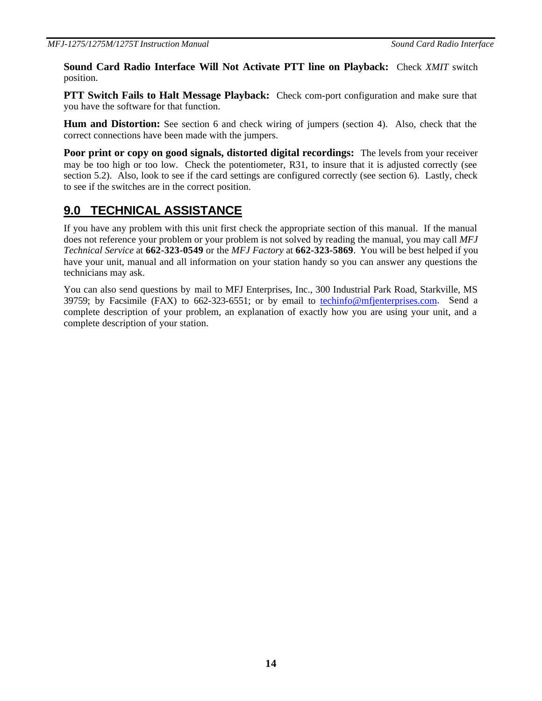**Sound Card Radio Interface Will Not Activate PTT line on Playback:** Check *XMIT* switch position.

**PTT Switch Fails to Halt Message Playback:** Check com-port configuration and make sure that you have the software for that function.

**Hum and Distortion:** See section 6 and check wiring of jumpers (section 4). Also, check that the correct connections have been made with the jumpers.

**Poor print or copy on good signals, distorted digital recordings:** The levels from your receiver may be too high or too low. Check the potentiometer, R31, to insure that it is adjusted correctly (see section 5.2). Also, look to see if the card settings are configured correctly (see section 6). Lastly, check to see if the switches are in the correct position.

## **9.0 TECHNICAL ASSISTANCE**

If you have any problem with this unit first check the appropriate section of this manual. If the manual does not reference your problem or your problem is not solved by reading the manual, you may call *MFJ Technical Service* at **662-323-0549** or the *MFJ Factory* at **662-323-5869**. You will be best helped if you have your unit, manual and all information on your station handy so you can answer any questions the technicians may ask.

You can also send questions by mail to MFJ Enterprises, Inc., 300 Industrial Park Road, Starkville, MS 39759; by Facsimile (FAX) to 662-323-6551; or by email to techinfo@mfjenterprises.com. Send a complete description of your problem, an explanation of exactly how you are using your unit, and a complete description of your station.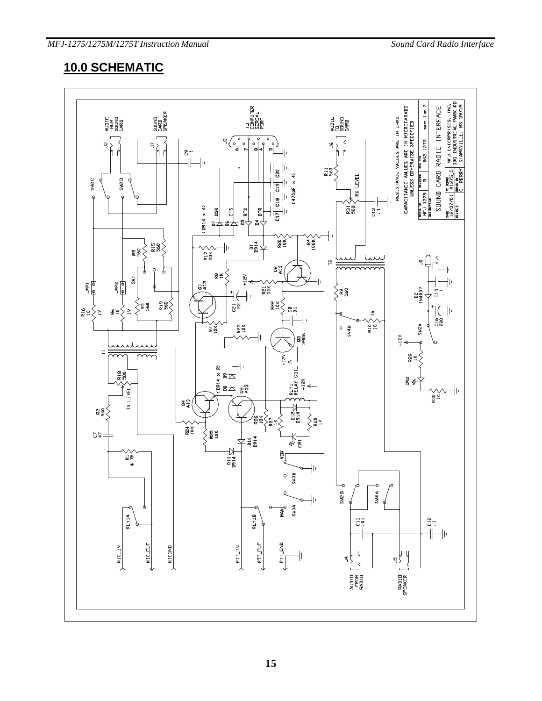## **10.0 SCHEMATIC**